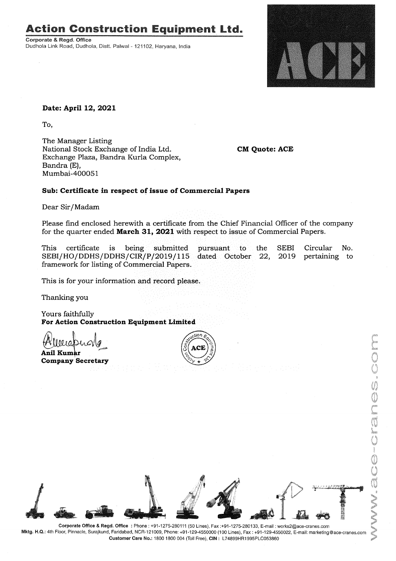# Action Construction Equipment Ltd..

Corporate & Regd. Office Dudhola Link Road, Dudhola, Distt. Palwal - 121102, Haryana, India



### **Date: April 12, 2021**

To,

The Manager Listing National Stock Exchange of India Ltd. Exchange Plaza, Bandra Kurla Complex, Bandra (E), Mumbai-400051

**CM Quote: ACE**

### **Sub: Certificate in respect of issue of Commercial Papers**

Dear Sir/Madam

Please find enclosed herewith a certificate from the Chief Financial Officer of the company for the quarter ended **March 31, 2021** with respect to issue of Commercial Papers.

Circular No. pertaining to SEBI 2019 pursuant to the SEBI/HO/DDHS/DDHS/CIR/P/2019/115 dated October 22, This certificate is being submitted framework for listing of Commercial Papers.

This is for your information and record please.

Thanking you

Yours faithfully **For Action Construction Equipment Limited**

*~lAL)~~* **Anil Kum1'r~'\_""***v ~* **Company Secretary**





Mktg. H.Q.: 4th Floor, Pinnacle, Surajkund, Faridabad, NCR-121009, Phone: +91-129-4550000 (100 Lines), Fax: +91-129-4550022, E-mail: marketing@ace-cranes.com Customer Care No.: 18001800004 (Toll Free), CIN: L74899HR1995PLC053860